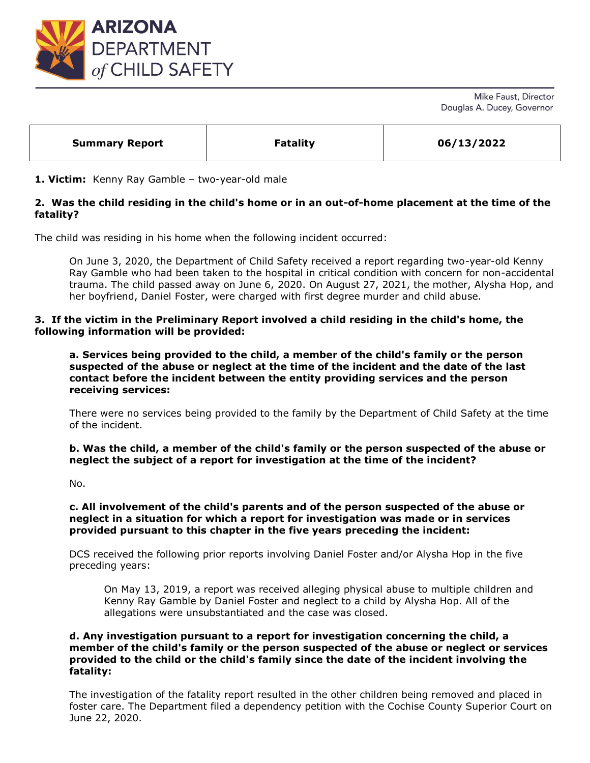

Mike Faust, Director Douglas A. Ducey, Governor

| <b>Summary Report</b> | <b>Fatality</b> | 06/13/2022 |
|-----------------------|-----------------|------------|
|                       |                 |            |

**1. Victim:** Kenny Ray Gamble – two-year-old male

## **2. Was the child residing in the child's home or in an out-of-home placement at the time of the fatality?**

The child was residing in his home when the following incident occurred:

On June 3, 2020, the Department of Child Safety received a report regarding two-year-old Kenny Ray Gamble who had been taken to the hospital in critical condition with concern for non-accidental trauma. The child passed away on June 6, 2020. On August 27, 2021, the mother, Alysha Hop, and her boyfriend, Daniel Foster, were charged with first degree murder and child abuse.

### **3. If the victim in the Preliminary Report involved a child residing in the child's home, the following information will be provided:**

**a. Services being provided to the child, a member of the child's family or the person suspected of the abuse or neglect at the time of the incident and the date of the last contact before the incident between the entity providing services and the person receiving services:** 

There were no services being provided to the family by the Department of Child Safety at the time of the incident.

**b. Was the child, a member of the child's family or the person suspected of the abuse or neglect the subject of a report for investigation at the time of the incident?**

No.

#### **c. All involvement of the child's parents and of the person suspected of the abuse or neglect in a situation for which a report for investigation was made or in services provided pursuant to this chapter in the five years preceding the incident:**

DCS received the following prior reports involving Daniel Foster and/or Alysha Hop in the five preceding years:

On May 13, 2019, a report was received alleging physical abuse to multiple children and Kenny Ray Gamble by Daniel Foster and neglect to a child by Alysha Hop. All of the allegations were unsubstantiated and the case was closed.

#### **d. Any investigation pursuant to a report for investigation concerning the child, a member of the child's family or the person suspected of the abuse or neglect or services provided to the child or the child's family since the date of the incident involving the fatality:**

The investigation of the fatality report resulted in the other children being removed and placed in foster care. The Department filed a dependency petition with the Cochise County Superior Court on June 22, 2020.